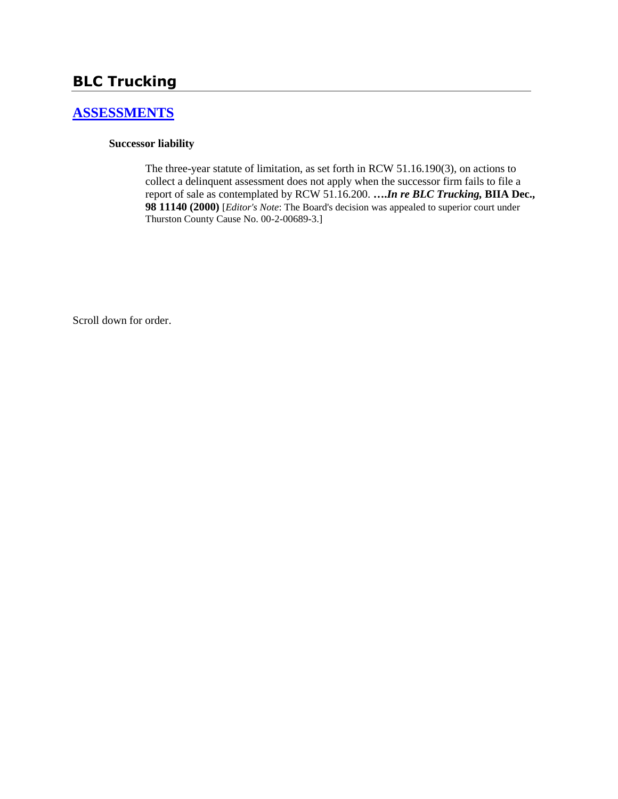# **BLC Trucking**

### **[ASSESSMENTS](http://www.biia.wa.gov/SDSubjectIndex.html#ASSESSMENTS)**

### **Successor liability**

The three-year statute of limitation, as set forth in RCW 51.16.190(3), on actions to collect a delinquent assessment does not apply when the successor firm fails to file a report of sale as contemplated by RCW 51.16.200. **….***In re BLC Trucking,* **BIIA Dec., 98 11140 (2000)** [*Editor's Note*: The Board's decision was appealed to superior court under Thurston County Cause No. 00-2-00689-3.]

Scroll down for order.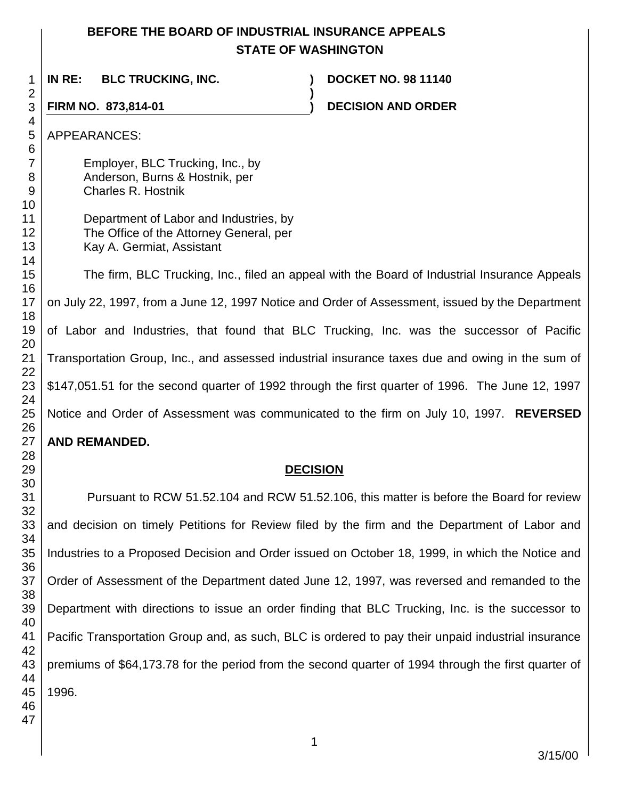## **BEFORE THE BOARD OF INDUSTRIAL INSURANCE APPEALS STATE OF WASHINGTON**

**IN RE: BLC TRUCKING, INC. ) DOCKET NO. 98 11140**

**FIRM NO. 873,814-01 ) DECISION AND ORDER** 

APPEARANCES:

Employer, BLC Trucking, Inc., by Anderson, Burns & Hostnik, per Charles R. Hostnik

Department of Labor and Industries, by The Office of the Attorney General, per Kay A. Germiat, Assistant

The firm, BLC Trucking, Inc., filed an appeal with the Board of Industrial Insurance Appeals on July 22, 1997, from a June 12, 1997 Notice and Order of Assessment, issued by the Department of Labor and Industries, that found that BLC Trucking, Inc. was the successor of Pacific Transportation Group, Inc., and assessed industrial insurance taxes due and owing in the sum of \$147,051.51 for the second quarter of 1992 through the first quarter of 1996. The June 12, 1997 Notice and Order of Assessment was communicated to the firm on July 10, 1997. **REVERSED AND REMANDED.**

**)**

### **DECISION**

Pursuant to RCW 51.52.104 and RCW 51.52.106, this matter is before the Board for review and decision on timely Petitions for Review filed by the firm and the Department of Labor and Industries to a Proposed Decision and Order issued on October 18, 1999, in which the Notice and Order of Assessment of the Department dated June 12, 1997, was reversed and remanded to the Department with directions to issue an order finding that BLC Trucking, Inc. is the successor to Pacific Transportation Group and, as such, BLC is ordered to pay their unpaid industrial insurance premiums of \$64,173.78 for the period from the second quarter of 1994 through the first quarter of 1996.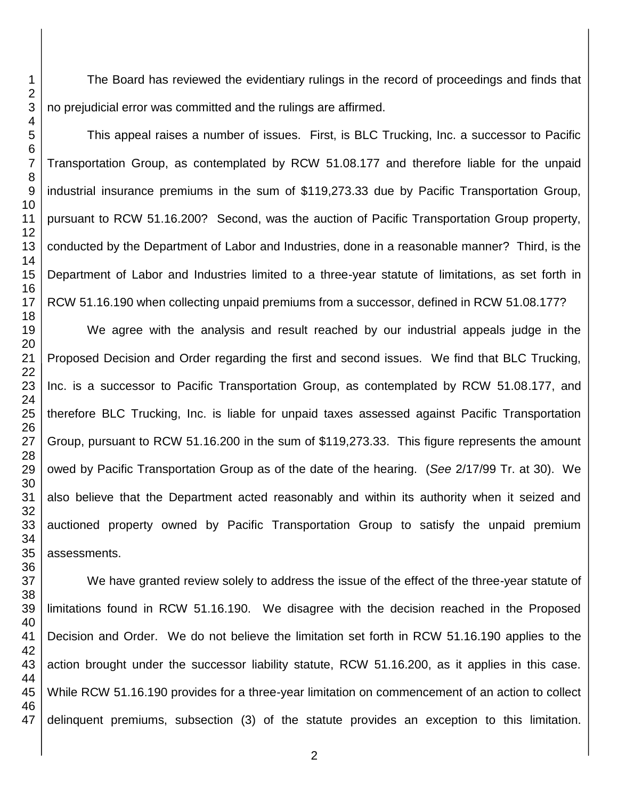The Board has reviewed the evidentiary rulings in the record of proceedings and finds that no prejudicial error was committed and the rulings are affirmed.

This appeal raises a number of issues. First, is BLC Trucking, Inc. a successor to Pacific Transportation Group, as contemplated by RCW 51.08.177 and therefore liable for the unpaid industrial insurance premiums in the sum of \$119,273.33 due by Pacific Transportation Group, pursuant to RCW 51.16.200? Second, was the auction of Pacific Transportation Group property, conducted by the Department of Labor and Industries, done in a reasonable manner? Third, is the Department of Labor and Industries limited to a three-year statute of limitations, as set forth in RCW 51.16.190 when collecting unpaid premiums from a successor, defined in RCW 51.08.177?

We agree with the analysis and result reached by our industrial appeals judge in the Proposed Decision and Order regarding the first and second issues. We find that BLC Trucking, Inc. is a successor to Pacific Transportation Group, as contemplated by RCW 51.08.177, and therefore BLC Trucking, Inc. is liable for unpaid taxes assessed against Pacific Transportation Group, pursuant to RCW 51.16.200 in the sum of \$119,273.33. This figure represents the amount owed by Pacific Transportation Group as of the date of the hearing. (*See* 2/17/99 Tr. at 30). We also believe that the Department acted reasonably and within its authority when it seized and auctioned property owned by Pacific Transportation Group to satisfy the unpaid premium assessments.

We have granted review solely to address the issue of the effect of the three-year statute of limitations found in RCW 51.16.190. We disagree with the decision reached in the Proposed Decision and Order. We do not believe the limitation set forth in RCW 51.16.190 applies to the action brought under the successor liability statute, RCW 51.16.200, as it applies in this case. While RCW 51.16.190 provides for a three-year limitation on commencement of an action to collect delinquent premiums, subsection (3) of the statute provides an exception to this limitation.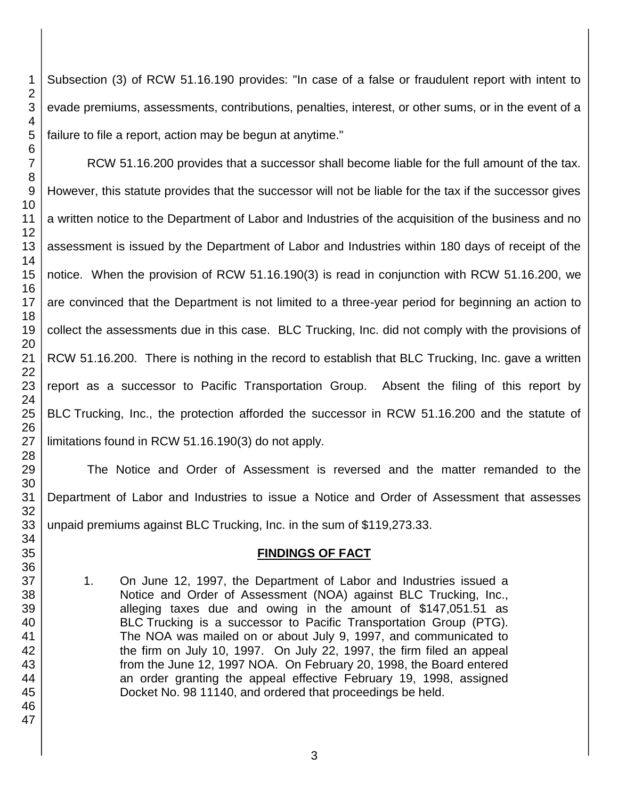Subsection (3) of RCW 51.16.190 provides: "In case of a false or fraudulent report with intent to evade premiums, assessments, contributions, penalties, interest, or other sums, or in the event of a failure to file a report, action may be begun at anytime."

RCW 51.16.200 provides that a successor shall become liable for the full amount of the tax. However, this statute provides that the successor will not be liable for the tax if the successor gives a written notice to the Department of Labor and Industries of the acquisition of the business and no assessment is issued by the Department of Labor and Industries within 180 days of receipt of the notice. When the provision of RCW 51.16.190(3) is read in conjunction with RCW 51.16.200, we are convinced that the Department is not limited to a three-year period for beginning an action to collect the assessments due in this case. BLC Trucking, Inc. did not comply with the provisions of RCW 51.16.200. There is nothing in the record to establish that BLC Trucking, Inc. gave a written report as a successor to Pacific Transportation Group. Absent the filing of this report by BLC Trucking, Inc., the protection afforded the successor in RCW 51.16.200 and the statute of limitations found in RCW 51.16.190(3) do not apply.

The Notice and Order of Assessment is reversed and the matter remanded to the Department of Labor and Industries to issue a Notice and Order of Assessment that assesses unpaid premiums against BLC Trucking, Inc. in the sum of \$119,273.33.

### **FINDINGS OF FACT**

1. On June 12, 1997, the Department of Labor and Industries issued a Notice and Order of Assessment (NOA) against BLC Trucking, Inc., alleging taxes due and owing in the amount of \$147,051.51 as BLC Trucking is a successor to Pacific Transportation Group (PTG). The NOA was mailed on or about July 9, 1997, and communicated to the firm on July 10, 1997. On July 22, 1997, the firm filed an appeal from the June 12, 1997 NOA. On February 20, 1998, the Board entered an order granting the appeal effective February 19, 1998, assigned Docket No. 98 11140, and ordered that proceedings be held.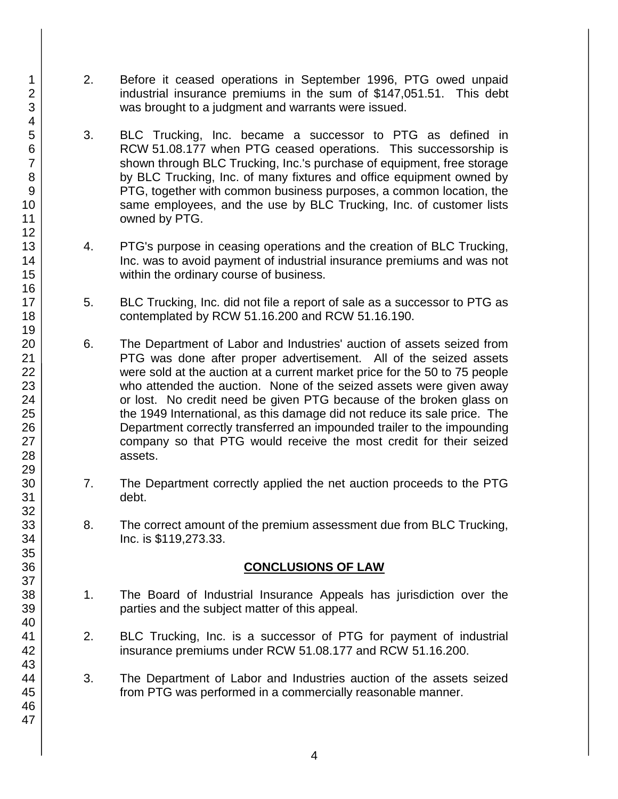- 2. Before it ceased operations in September 1996, PTG owed unpaid industrial insurance premiums in the sum of \$147,051.51. This debt was brought to a judgment and warrants were issued.
- 3. BLC Trucking, Inc. became a successor to PTG as defined in RCW 51.08.177 when PTG ceased operations. This successorship is shown through BLC Trucking, Inc.'s purchase of equipment, free storage by BLC Trucking, Inc. of many fixtures and office equipment owned by PTG, together with common business purposes, a common location, the same employees, and the use by BLC Trucking, Inc. of customer lists owned by PTG.
- 4. PTG's purpose in ceasing operations and the creation of BLC Trucking, Inc. was to avoid payment of industrial insurance premiums and was not within the ordinary course of business.
- 5. BLC Trucking, Inc. did not file a report of sale as a successor to PTG as contemplated by RCW 51.16.200 and RCW 51.16.190.
- 6. The Department of Labor and Industries' auction of assets seized from PTG was done after proper advertisement. All of the seized assets were sold at the auction at a current market price for the 50 to 75 people who attended the auction. None of the seized assets were given away or lost. No credit need be given PTG because of the broken glass on the 1949 International, as this damage did not reduce its sale price. The Department correctly transferred an impounded trailer to the impounding company so that PTG would receive the most credit for their seized assets.
- 7. The Department correctly applied the net auction proceeds to the PTG debt.
- 8. The correct amount of the premium assessment due from BLC Trucking, Inc. is \$119,273.33.

### **CONCLUSIONS OF LAW**

- 1. The Board of Industrial Insurance Appeals has jurisdiction over the parties and the subject matter of this appeal.
- 2. BLC Trucking, Inc. is a successor of PTG for payment of industrial insurance premiums under RCW 51.08.177 and RCW 51.16.200.
- 3. The Department of Labor and Industries auction of the assets seized from PTG was performed in a commercially reasonable manner.